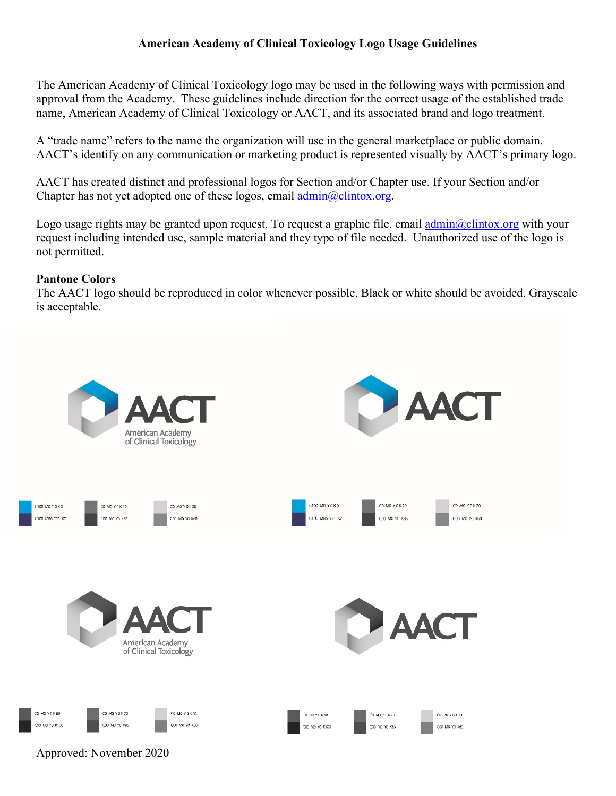The American Academy of Clinical Toxicology logo may be used in the following ways with permission and approval from the Academy. These guidelines include direction for the correct usage of the established trade name, American Academy of Clinical Toxicology or AACT, and its associated brand and logo treatment.

A "trade name" refers to the name the organization will use in the general marketplace or public domain. AACT's identify on any communication or marketing product is represented visually by AACT's primary logo.

AACT has created distinct and professional logos for Section and/or Chapter use. If your Section and/or Chapter has not yet adopted one of these logos, email  $\frac{\text{admin}(Q) \cdot \text{C}}{\text{admin}(Q)}$ .

Logo usage rights may be granted upon request. To request a graphic file, email  $\frac{\text{admin}(a)\text{clintox.org}}{\text{edmin}(a)}$  with your request including intended use, sample material and they type of file needed. Unauthorized use of the logo is not permitted.

## **Pantone Colors**

The AACT logo should be reproduced in color whenever possible. Black or white should be avoided. Grayscale is acceptable.



Approved: November 2020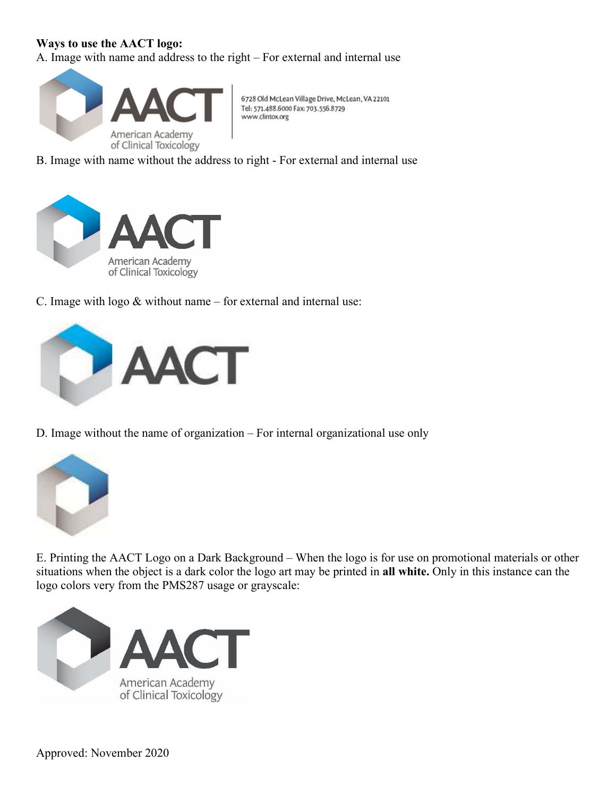## **Ways to use the AACT logo:**

A. Image with name and address to the right – For external and internal use



6728 Old McLean Village Drive, McLean, VA 22101 Tel: 571.488.6000 Fax: 703.556.8729 www.clintox.org

B. Image with name without the address to right - For external and internal use



C. Image with logo  $&$  without name – for external and internal use:



D. Image without the name of organization – For internal organizational use only



E. Printing the AACT Logo on a Dark Background – When the logo is for use on promotional materials or other situations when the object is a dark color the logo art may be printed in **all white.** Only in this instance can the logo colors very from the PMS287 usage or grayscale: